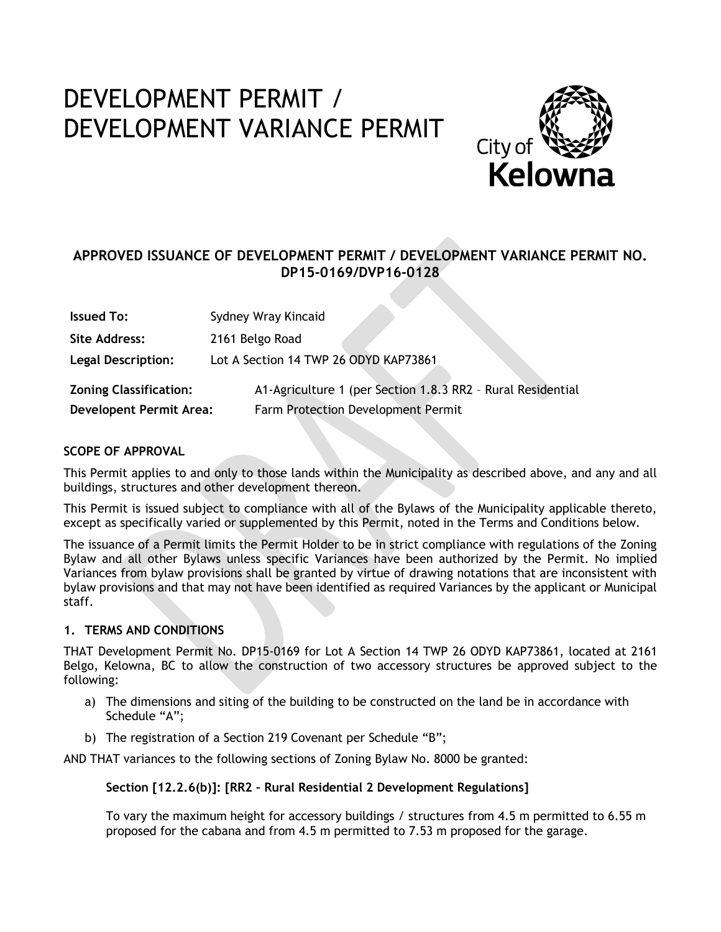# DEVELOPMENT PERMIT / DEVELOPMENT VARIANCE PERMIT



## **APPROVED ISSUANCE OF DEVELOPMENT PERMIT / DEVELOPMENT VARIANCE PERMIT NO. DP15-0169/DVP16-0128**

| <b>Issued To:</b>             | Sydney Wray Kincaid                                         |
|-------------------------------|-------------------------------------------------------------|
| Site Address:                 | 2161 Belgo Road                                             |
| <b>Legal Description:</b>     | Lot A Section 14 TWP 26 ODYD KAP73861                       |
| <b>Zoning Classification:</b> | A1-Agriculture 1 (per Section 1.8.3 RR2 - Rural Residential |
| Developent Permit Area:       | Farm Protection Development Permit                          |

## **SCOPE OF APPROVAL**

This Permit applies to and only to those lands within the Municipality as described above, and any and all buildings, structures and other development thereon.

This Permit is issued subject to compliance with all of the Bylaws of the Municipality applicable thereto, except as specifically varied or supplemented by this Permit, noted in the Terms and Conditions below.

The issuance of a Permit limits the Permit Holder to be in strict compliance with regulations of the Zoning Bylaw and all other Bylaws unless specific Variances have been authorized by the Permit. No implied Variances from bylaw provisions shall be granted by virtue of drawing notations that are inconsistent with bylaw provisions and that may not have been identified as required Variances by the applicant or Municipal staff.

## **1. TERMS AND CONDITIONS**

THAT Development Permit No. DP15-0169 for Lot A Section 14 TWP 26 ODYD KAP73861, located at 2161 Belgo, Kelowna, BC to allow the construction of two accessory structures be approved subject to the following:

- a) The dimensions and siting of the building to be constructed on the land be in accordance with Schedule "A";
- b) The registration of a Section 219 Covenant per Schedule "B";

AND THAT variances to the following sections of Zoning Bylaw No. 8000 be granted:

## **Section [12.2.6(b)]: [RR2 – Rural Residential 2 Development Regulations]**

To vary the maximum height for accessory buildings / structures from 4.5 m permitted to 6.55 m proposed for the cabana and from 4.5 m permitted to 7.53 m proposed for the garage.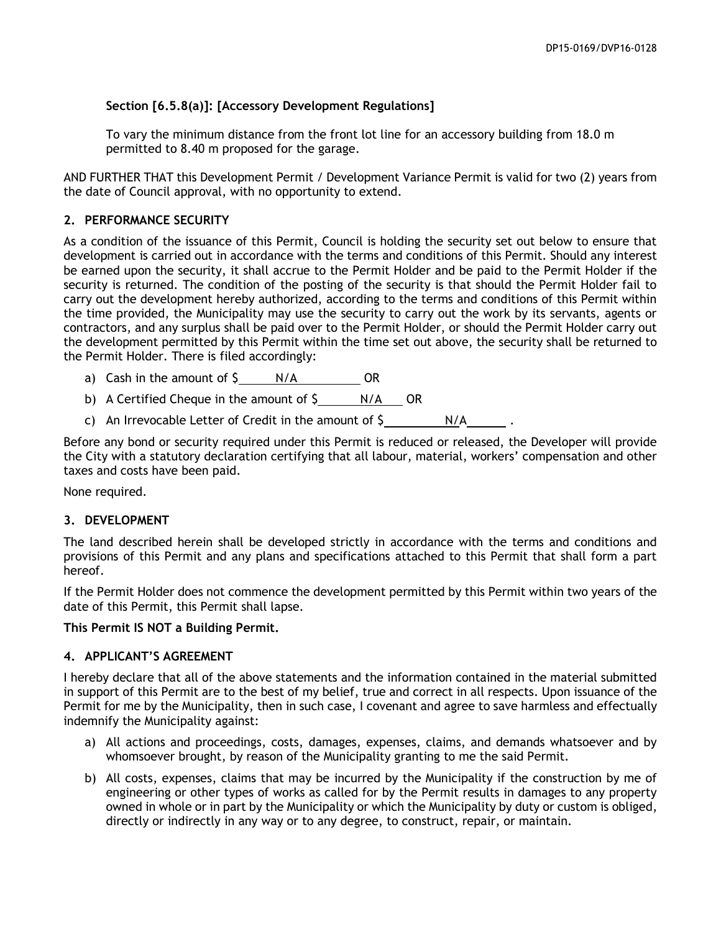## **Section [6.5.8(a)]: [Accessory Development Regulations]**

To vary the minimum distance from the front lot line for an accessory building from 18.0 m permitted to 8.40 m proposed for the garage.

AND FURTHER THAT this Development Permit / Development Variance Permit is valid for two (2) years from the date of Council approval, with no opportunity to extend.

## **2. PERFORMANCE SECURITY**

As a condition of the issuance of this Permit, Council is holding the security set out below to ensure that development is carried out in accordance with the terms and conditions of this Permit. Should any interest be earned upon the security, it shall accrue to the Permit Holder and be paid to the Permit Holder if the security is returned. The condition of the posting of the security is that should the Permit Holder fail to carry out the development hereby authorized, according to the terms and conditions of this Permit within the time provided, the Municipality may use the security to carry out the work by its servants, agents or contractors, and any surplus shall be paid over to the Permit Holder, or should the Permit Holder carry out the development permitted by this Permit within the time set out above, the security shall be returned to the Permit Holder. There is filed accordingly:

- a) Cash in the amount of  $\frac{S}{A}$  N/A OR
- b) A Certified Cheque in the amount of  $\zeta$  N/A OR
- c) An Irrevocable Letter of Credit in the amount of  $\frac{1}{2}$   $\frac{N}{A}$

Before any bond or security required under this Permit is reduced or released, the Developer will provide the City with a statutory declaration certifying that all labour, material, workers' compensation and other taxes and costs have been paid.

None required.

## **3. DEVELOPMENT**

The land described herein shall be developed strictly in accordance with the terms and conditions and provisions of this Permit and any plans and specifications attached to this Permit that shall form a part hereof.

If the Permit Holder does not commence the development permitted by this Permit within two years of the date of this Permit, this Permit shall lapse.

**This Permit IS NOT a Building Permit.**

## **4. APPLICANT'S AGREEMENT**

I hereby declare that all of the above statements and the information contained in the material submitted in support of this Permit are to the best of my belief, true and correct in all respects. Upon issuance of the Permit for me by the Municipality, then in such case, I covenant and agree to save harmless and effectually indemnify the Municipality against:

- a) All actions and proceedings, costs, damages, expenses, claims, and demands whatsoever and by whomsoever brought, by reason of the Municipality granting to me the said Permit.
- b) All costs, expenses, claims that may be incurred by the Municipality if the construction by me of engineering or other types of works as called for by the Permit results in damages to any property owned in whole or in part by the Municipality or which the Municipality by duty or custom is obliged, directly or indirectly in any way or to any degree, to construct, repair, or maintain.